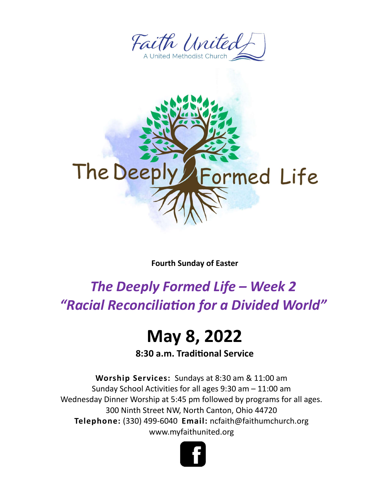



Fourth Sunday of Easter

## The Deeply Formed Life – Week 2 "Racial Reconciliation for a Divided World"

## May 8, 2022

8:30 a.m. Traditional Service

Worship Services: Sundays at 8:30 am & 11:00 am Sunday School Activities for all ages 9:30 am – 11:00 am Wednesday Dinner Worship at 5:45 pm followed by programs for all ages. 300 Ninth Street NW, North Canton, Ohio 44720 Telephone: (330) 499-6040 Email: ncfaith@faithumchurch.org www.myfaithunited.org

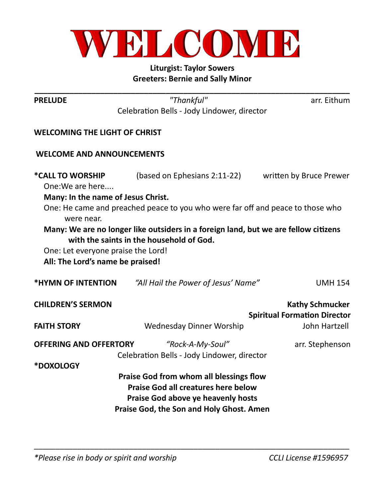

## Liturgist: Taylor Sowers Greeters: Bernie and Sally Minor

| <b>PRELUDE</b>                       | "Thankful"                                                                          | arr. Eithum                         |
|--------------------------------------|-------------------------------------------------------------------------------------|-------------------------------------|
|                                      | Celebration Bells - Jody Lindower, director                                         |                                     |
| <b>WELCOMING THE LIGHT OF CHRIST</b> |                                                                                     |                                     |
| <b>WELCOME AND ANNOUNCEMENTS</b>     |                                                                                     |                                     |
| *CALL TO WORSHIP<br>One: We are here | (based on Ephesians 2:11-22)                                                        | written by Bruce Prewer             |
| Many: In the name of Jesus Christ.   |                                                                                     |                                     |
| were near.                           | One: He came and preached peace to you who were far off and peace to those who      |                                     |
|                                      | Many: We are no longer like outsiders in a foreign land, but we are fellow citizens |                                     |
|                                      | with the saints in the household of God.                                            |                                     |
| One: Let everyone praise the Lord!   |                                                                                     |                                     |
| All: The Lord's name be praised!     |                                                                                     |                                     |
| *HYMN OF INTENTION                   | "All Hail the Power of Jesus' Name"                                                 | <b>UMH 154</b>                      |
| <b>CHILDREN'S SERMON</b>             |                                                                                     | <b>Kathy Schmucker</b>              |
|                                      |                                                                                     | <b>Spiritual Formation Director</b> |
| <b>FAITH STORY</b>                   | <b>Wednesday Dinner Worship</b>                                                     | John Hartzell                       |
| <b>OFFERING AND OFFERTORY</b>        | "Rock-A-My-Soul"                                                                    | arr. Stephenson                     |
|                                      |                                                                                     |                                     |
|                                      | Celebration Bells - Jody Lindower, director                                         |                                     |
| <b>*DOXOLOGY</b>                     |                                                                                     |                                     |
|                                      | Praise God from whom all blessings flow                                             |                                     |
|                                      | <b>Praise God all creatures here below</b>                                          |                                     |
|                                      | Praise God above ye heavenly hosts<br>Praise God, the Son and Holy Ghost. Amen      |                                     |

 $\overline{\phantom{a}}$  , and the contribution of the contribution of the contribution of the contribution of the contribution of the contribution of the contribution of the contribution of the contribution of the contribution of the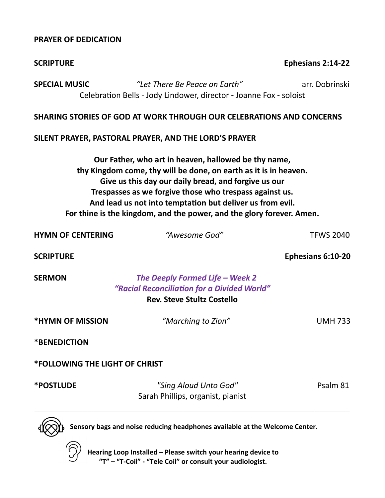## PRAYER OF DEDICATION

| <b>SCRIPTURE</b>                      |                                                                                                                                                                                                                                                                                                                                                                                   | Ephesians 2:14-22 |
|---------------------------------------|-----------------------------------------------------------------------------------------------------------------------------------------------------------------------------------------------------------------------------------------------------------------------------------------------------------------------------------------------------------------------------------|-------------------|
| <b>SPECIAL MUSIC</b>                  | "Let There Be Peace on Earth"<br>Celebration Bells - Jody Lindower, director - Joanne Fox - soloist                                                                                                                                                                                                                                                                               | arr. Dobrinski    |
|                                       | SHARING STORIES OF GOD AT WORK THROUGH OUR CELEBRATIONS AND CONCERNS                                                                                                                                                                                                                                                                                                              |                   |
|                                       | SILENT PRAYER, PASTORAL PRAYER, AND THE LORD'S PRAYER                                                                                                                                                                                                                                                                                                                             |                   |
|                                       | Our Father, who art in heaven, hallowed be thy name,<br>thy Kingdom come, thy will be done, on earth as it is in heaven.<br>Give us this day our daily bread, and forgive us our<br>Trespasses as we forgive those who trespass against us.<br>And lead us not into temptation but deliver us from evil.<br>For thine is the kingdom, and the power, and the glory forever. Amen. |                   |
| <b>HYMN OF CENTERING</b>              | "Awesome God"                                                                                                                                                                                                                                                                                                                                                                     | <b>TFWS 2040</b>  |
| <b>SCRIPTURE</b>                      |                                                                                                                                                                                                                                                                                                                                                                                   | Ephesians 6:10-20 |
| <b>SERMON</b>                         | The Deeply Formed Life - Week 2<br>"Racial Reconciliation for a Divided World"<br><b>Rev. Steve Stultz Costello</b>                                                                                                                                                                                                                                                               |                   |
| *HYMN OF MISSION                      | "Marching to Zion"                                                                                                                                                                                                                                                                                                                                                                | <b>UMH 733</b>    |
| *BENEDICTION                          |                                                                                                                                                                                                                                                                                                                                                                                   |                   |
| <b>*FOLLOWING THE LIGHT OF CHRIST</b> |                                                                                                                                                                                                                                                                                                                                                                                   |                   |
| <b>*POSTLUDE</b>                      | "Sing Aloud Unto God"<br>Sarah Phillips, organist, pianist                                                                                                                                                                                                                                                                                                                        | Psalm 81          |
|                                       | Sensory bags and noise reducing headphones available at the Welcome Center.                                                                                                                                                                                                                                                                                                       |                   |



Hearing Loop Installed – Please switch your hearing device to "T" – "T-Coil" - "Tele Coil" or consult your audiologist.